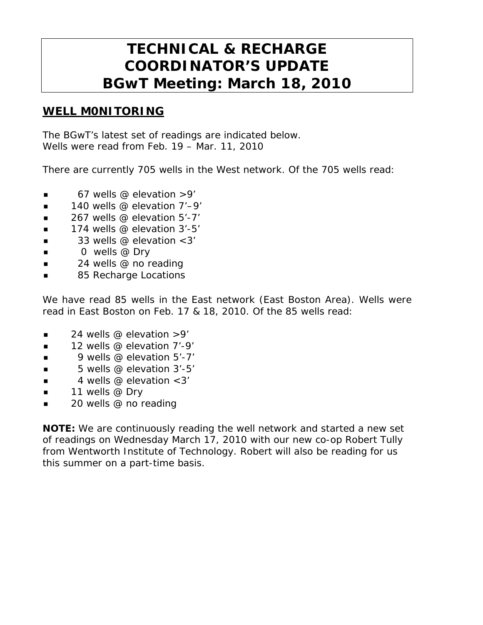# **TECHNICAL & RECHARGE COORDINATOR'S UPDATE BGwT Meeting: March 18, 2010**

#### **WELL M0NITORING**

The BGwT's latest set of readings are indicated below. Wells were read from Feb. 19 – Mar. 11, 2010

There are currently 705 wells in the West network. Of the 705 wells read:

- $\blacksquare$  67 wells @ elevation >9'
- 140 wells @ elevation 7'–9'
- $\blacksquare$  267 wells @ elevation 5'-7'
- $\blacksquare$  174 wells @ elevation 3'-5'
- $\blacksquare$  33 wells @ elevation < 3'
- $\Box$  0 wells @ Dry
- $\blacksquare$  24 wells @ no reading
- 85 Recharge Locations

We have read 85 wells in the East network (East Boston Area). Wells were read in East Boston on Feb. 17 & 18, 2010. Of the 85 wells read:

- $\blacksquare$  24 wells @ elevation >9'
- $\blacksquare$  12 wells @ elevation 7'-9'
- 9 wells @ elevation 5'-7'
- $\blacksquare$  5 wells @ elevation 3'-5'
- $\blacksquare$  4 wells @ elevation < 3'
- $\blacksquare$  11 wells @ Dry
- $\Box$  20 wells @ no reading

**NOTE:** We are continuously reading the well network and started a new set of readings on Wednesday March 17, 2010 with our new co-op Robert Tully from Wentworth Institute of Technology. Robert will also be reading for us this summer on a part-time basis.